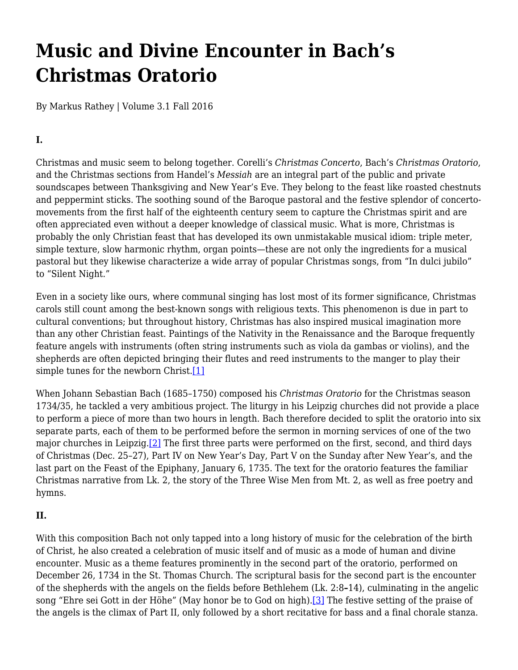# <span id="page-0-2"></span>**Music and Divine Encounter in Bach's Christmas Oratorio**

By Markus Rathey | Volume 3.1 Fall 2016

# **I.**

Christmas and music seem to belong together. Corelli's *Christmas Concerto*, Bach's *Christmas Oratorio*, and the Christmas sections from Handel's *Messiah* are an integral part of the public and private soundscapes between Thanksgiving and New Year's Eve. They belong to the feast like roasted chestnuts and peppermint sticks. The soothing sound of the Baroque pastoral and the festive splendor of concertomovements from the first half of the eighteenth century seem to capture the Christmas spirit and are often appreciated even without a deeper knowledge of classical music. What is more, Christmas is probably the only Christian feast that has developed its own unmistakable musical idiom: triple meter, simple texture, slow harmonic rhythm, organ points—these are not only the ingredients for a musical pastoral but they likewise characterize a wide array of popular Christmas songs, from "In dulci jubilo" to "Silent Night."

Even in a society like ours, where communal singing has lost most of its former significance, Christmas carols still count among the best-known songs with religious texts. This phenomenon is due in part to cultural conventions; but throughout history, Christmas has also inspired musical imagination more than any other Christian feast. Paintings of the Nativity in the Renaissance and the Baroque frequently feature angels with instruments (often string instruments such as viola da gambas or violins), and the shepherds are often depicted bringing their flutes and reed instruments to the manger to play their simple tunes for the newborn Christ.[\[1\]](#page-0-0)

When Johann Sebastian Bach (1685–1750) composed his *Christmas Oratorio* for the Christmas season 1734/35, he tackled a very ambitious project. The liturgy in his Leipzig churches did not provide a place to perform a piece of more than two hours in length. Bach therefore decided to split the oratorio into six separate parts, each of them to be performed before the sermon in morning services of one of the two major churches in Leipzig[.\[2\]](#page-0-1) The first three parts were performed on the first, second, and third days of Christmas (Dec. 25–27), Part IV on New Year's Day, Part V on the Sunday after New Year's, and the last part on the Feast of the Epiphany, January 6, 1735. The text for the oratorio features the familiar Christmas narrative from Lk. 2, the story of the Three Wise Men from Mt. 2, as well as free poetry and hymns.

## **II.**

<span id="page-0-1"></span><span id="page-0-0"></span>With this composition Bach not only tapped into a long history of music for the celebration of the birth of Christ, he also created a celebration of music itself and of music as a mode of human and divine encounter. Music as a theme features prominently in the second part of the oratorio, performed on December 26, 1734 in the St. Thomas Church. The scriptural basis for the second part is the encounter of the shepherds with the angels on the fields before Bethlehem (Lk. 2:8**–**14), culminating in the angelic song "Ehre sei Gott in der Höhe" (May honor be to God on high).<sup>[3]</sup> The festive setting of the praise of the angels is the climax of Part II, only followed by a short recitative for bass and a final chorale stanza.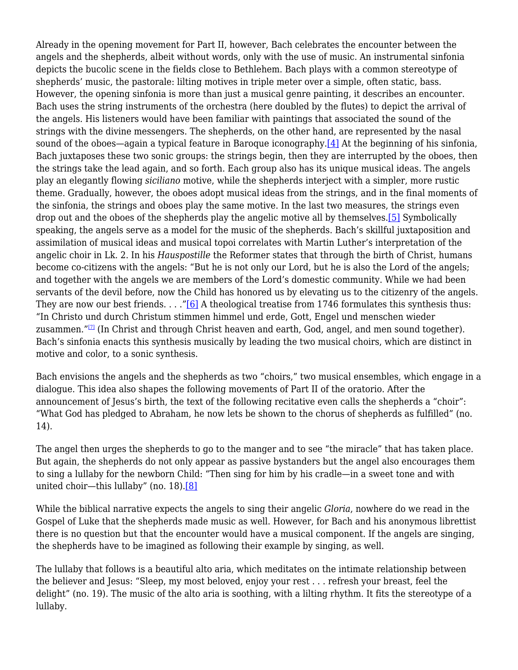Already in the opening movement for Part II, however, Bach celebrates the encounter between the angels and the shepherds, albeit without words, only with the use of music. An instrumental sinfonia depicts the bucolic scene in the fields close to Bethlehem. Bach plays with a common stereotype of shepherds' music, the pastorale: lilting motives in triple meter over a simple, often static, bass. However, the opening sinfonia is more than just a musical genre painting, it describes an encounter. Bach uses the string instruments of the orchestra (here doubled by the flutes) to depict the arrival of the angels. His listeners would have been familiar with paintings that associated the sound of the strings with the divine messengers. The shepherds, on the other hand, are represented by the nasal sound of the oboes—again a typical feature in Baroque iconography.<sup>[4]</sup> At the beginning of his sinfonia, Bach juxtaposes these two sonic groups: the strings begin, then they are interrupted by the oboes, then the strings take the lead again, and so forth. Each group also has its unique musical ideas. The angels play an elegantly flowing *siciliano* motive, while the shepherds interject with a simpler, more rustic theme. Gradually, however, the oboes adopt musical ideas from the strings, and in the final moments of the sinfonia, the strings and oboes play the same motive. In the last two measures, the strings even drop out and the oboes of the shepherds play the angelic motive all by themselves.<sup>[5]</sup> Symbolically speaking, the angels serve as a model for the music of the shepherds. Bach's skillful juxtaposition and assimilation of musical ideas and musical topoi correlates with Martin Luther's interpretation of the angelic choir in Lk. 2. In his *Hauspostille* the Reformer states that through the birth of Christ, humans become co-citizens with the angels: "But he is not only our Lord, but he is also the Lord of the angels; and together with the angels we are members of the Lord's domestic community. While we had been servants of the devil before, now the Child has honored us by elevating us to the citizenry of the angels. They are now our best friends.  $\ldots$  "[6] A theological treatise from 1746 formulates this synthesis thus: "In Christo und durch Christum stimmen himmel und erde, Gott, Engel und menschen wieder zusammen."<sup>[7]</sup> (In Christ and through Christ heaven and earth, God, angel, and men sound together). Bach's sinfonia enacts this synthesis musically by leading the two musical choirs, which are distinct in motive and color, to a sonic synthesis.

Bach envisions the angels and the shepherds as two "choirs," two musical ensembles, which engage in a dialogue. This idea also shapes the following movements of Part II of the oratorio. After the announcement of Jesus's birth, the text of the following recitative even calls the shepherds a "choir": "What God has pledged to Abraham, he now lets be shown to the chorus of shepherds as fulfilled" (no. 14).

The angel then urges the shepherds to go to the manger and to see "the miracle" that has taken place. But again, the shepherds do not only appear as passive bystanders but the angel also encourages them to sing a lullaby for the newborn Child: "Then sing for him by his cradle—in a sweet tone and with united choir—this lullaby" (no. 18).[8]

While the biblical narrative expects the angels to sing their angelic *Gloria*, nowhere do we read in the Gospel of Luke that the shepherds made music as well. However, for Bach and his anonymous librettist there is no question but that the encounter would have a musical component. If the angels are singing, the shepherds have to be imagined as following their example by singing, as well.

The lullaby that follows is a beautiful alto aria, which meditates on the intimate relationship between the believer and Jesus: "Sleep, my most beloved, enjoy your rest . . . refresh your breast, feel the delight" (no. 19). The music of the alto aria is soothing, with a lilting rhythm. It fits the stereotype of a lullaby.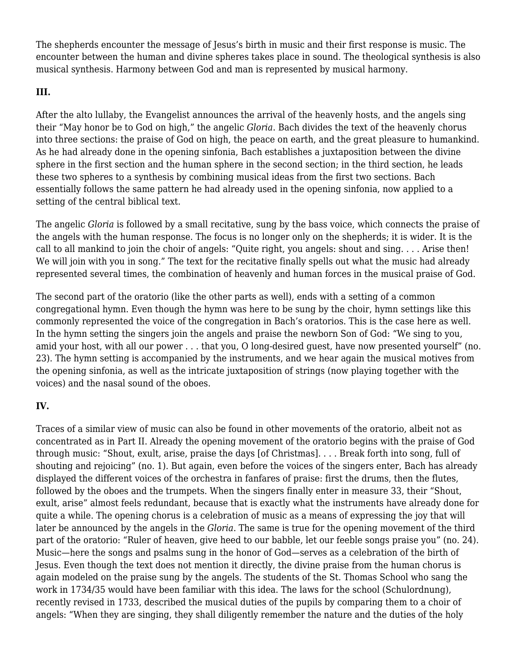The shepherds encounter the message of Jesus's birth in music and their first response is music. The encounter between the human and divine spheres takes place in sound. The theological synthesis is also musical synthesis. Harmony between God and man is represented by musical harmony.

#### **III.**

After the alto lullaby, the Evangelist announces the arrival of the heavenly hosts, and the angels sing their "May honor be to God on high," the angelic *Gloria*. Bach divides the text of the heavenly chorus into three sections: the praise of God on high, the peace on earth, and the great pleasure to humankind. As he had already done in the opening sinfonia, Bach establishes a juxtaposition between the divine sphere in the first section and the human sphere in the second section; in the third section, he leads these two spheres to a synthesis by combining musical ideas from the first two sections. Bach essentially follows the same pattern he had already used in the opening sinfonia, now applied to a setting of the central biblical text.

The angelic *Gloria* is followed by a small recitative, sung by the bass voice, which connects the praise of the angels with the human response. The focus is no longer only on the shepherds; it is wider. It is the call to all mankind to join the choir of angels: "Quite right, you angels: shout and sing. . . . Arise then! We will join with you in song." The text for the recitative finally spells out what the music had already represented several times, the combination of heavenly and human forces in the musical praise of God.

The second part of the oratorio (like the other parts as well), ends with a setting of a common congregational hymn. Even though the hymn was here to be sung by the choir, hymn settings like this commonly represented the voice of the congregation in Bach's oratorios. This is the case here as well. In the hymn setting the singers join the angels and praise the newborn Son of God: "We sing to you, amid your host, with all our power . . . that you, O long-desired guest, have now presented yourself" (no. 23). The hymn setting is accompanied by the instruments, and we hear again the musical motives from the opening sinfonia, as well as the intricate juxtaposition of strings (now playing together with the voices) and the nasal sound of the oboes.

# **IV.**

Traces of a similar view of music can also be found in other movements of the oratorio, albeit not as concentrated as in Part II. Already the opening movement of the oratorio begins with the praise of God through music: "Shout, exult, arise, praise the days [of Christmas]. . . . Break forth into song, full of shouting and rejoicing" (no. 1). But again, even before the voices of the singers enter, Bach has already displayed the different voices of the orchestra in fanfares of praise: first the drums, then the flutes, followed by the oboes and the trumpets. When the singers finally enter in measure 33, their "Shout, exult, arise" almost feels redundant, because that is exactly what the instruments have already done for quite a while. The opening chorus is a celebration of music as a means of expressing the joy that will later be announced by the angels in the *Gloria*. The same is true for the opening movement of the third part of the oratorio: "Ruler of heaven, give heed to our babble, let our feeble songs praise you" (no. 24). Music—here the songs and psalms sung in the honor of God—serves as a celebration of the birth of Jesus. Even though the text does not mention it directly, the divine praise from the human chorus is again modeled on the praise sung by the angels. The students of the St. Thomas School who sang the work in 1734/35 would have been familiar with this idea. The laws for the school (Schulordnung), recently revised in 1733, described the musical duties of the pupils by comparing them to a choir of angels: "When they are singing, they shall diligently remember the nature and the duties of the holy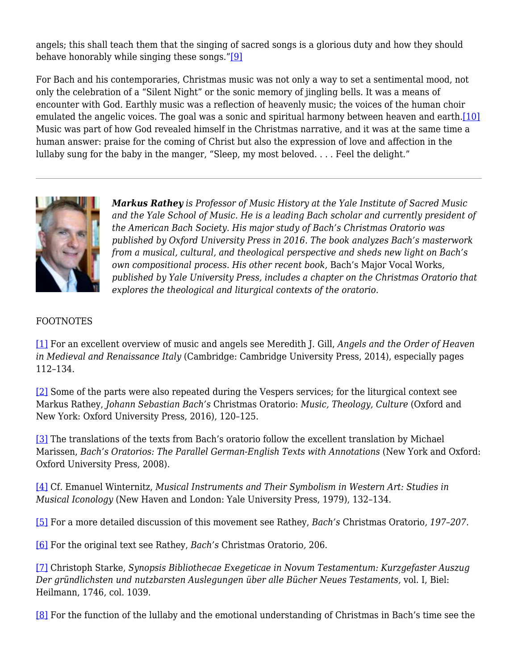angels; this shall teach them that the singing of sacred songs is a glorious duty and how they should behave honorably while singing these songs."[9]

For Bach and his contemporaries, Christmas music was not only a way to set a sentimental mood, not only the celebration of a "Silent Night" or the sonic memory of jingling bells. It was a means of encounter with God. Earthly music was a reflection of heavenly music; the voices of the human choir emulated the angelic voices. The goal was a sonic and spiritual harmony between heaven and earth.[10] Music was part of how God revealed himself in the Christmas narrative, and it was at the same time a human answer: praise for the coming of Christ but also the expression of love and affection in the lullaby sung for the baby in the manger, "Sleep, my most beloved.... Feel the delight."



*Markus Rathey is Professor of Music History at the Yale Institute of Sacred Music and the Yale School of Music. He is a leading Bach scholar and currently president of the American Bach Society. His major study of Bach's Christmas Oratorio was published by Oxford University Press in 2016. The book analyzes Bach's masterwork from a musical, cultural, and theological perspective and sheds new light on Bach's own compositional process. His other recent book,* Bach's Major Vocal Works*, published by Yale University Press, includes a chapter on the Christmas Oratorio that explores the theological and liturgical contexts of the oratorio.*

## FOOTNOTES

[1] For an excellent overview of music and angels see Meredith J. Gill, *Angels and the Order of Heaven in Medieval and Renaissance Italy* (Cambridge: Cambridge University Press, 2014), especially pages 112–134.

[2] Some of the parts were also repeated during the Vespers services; for the liturgical context see Markus Rathey, *Johann Sebastian Bach's* Christmas Oratorio: *Music, Theology, Culture* (Oxford and New York: Oxford University Press, 2016), 120–125.

[3] The translations of the texts from Bach's oratorio follow the excellent translation by Michael Marissen, *Bach's Oratorios: The Parallel German-English Texts with Annotations* (New York and Oxford: Oxford University Press, 2008).

[4] Cf. Emanuel Winternitz, *Musical Instruments and Their Symbolism in Western Art: Studies in Musical Iconology* (New Haven and London: Yale University Press, 1979), 132–134.

[5] For a more detailed discussion of this movement see Rathey, *Bach's* Christmas Oratorio*, 197–207.*

[6] For the original text see Rathey, *Bach's* Christmas Oratorio*,* 206.

[7] Christoph Starke, *Synopsis Bibliothecae Exegeticae in Novum Testamentum: Kurzgefaster Auszug Der gründlichsten und nutzbarsten Auslegungen über alle Bücher Neues Testaments,* vol. I, Biel: Heilmann, 1746, col. 1039.

[8] For the function of the lullaby and the emotional understanding of Christmas in Bach's time see the